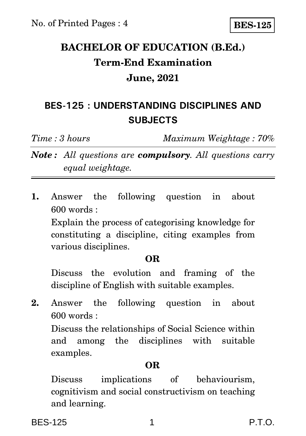## **BACHELOR OF EDUCATION (B.Ed.) Term-End Examination June, 2021**

## **BES-125 : UNDERSTANDING DISCIPLINES AND SUBJECTS**

*Time : 3 hours Maximum Weightage : 70%*

*Note : All questions are compulsory. All questions carry equal weightage.*

**1.** Answer the following question in about 600 words :

Explain the process of categorising knowledge for constituting a discipline, citing examples from various disciplines.

#### **OR**

Discuss the evolution and framing of the discipline of English with suitable examples.

**2.** Answer the following question in about 600 words :

Discuss the relationships of Social Science within and among the disciplines with suitable examples.

### **OR**

Discuss implications of behaviourism, cognitivism and social constructivism on teaching and learning.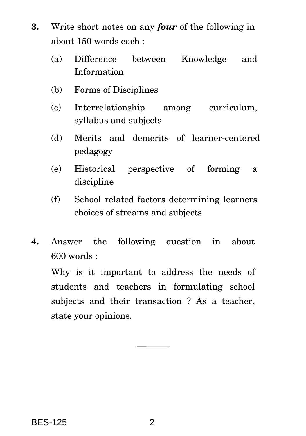- **3.** Write short notes on any *four* of the following in about 150 words each :
	- (a) Difference between Knowledge and Information
	- (b) Forms of Disciplines
	- (c) Interrelationship among curriculum, syllabus and subjects
	- (d) Merits and demerits of learner-centered pedagogy
	- (e) Historical perspective of forming a discipline
	- (f) School related factors determining learners choices of streams and subjects
- **4.** Answer the following question in about 600 words :

Why is it important to address the needs of students and teachers in formulating school subjects and their transaction ? As a teacher, state your opinions.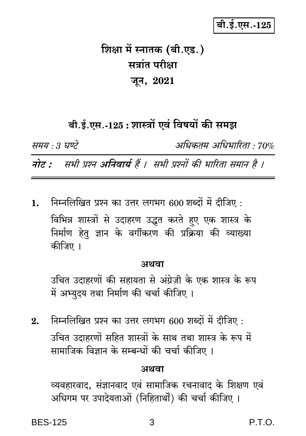# बी.ई.एस.-125

# शिक्षा में स्नातक (बी.एड.) सत्रांत परीक्षा जून, 2021

## बी.ई.एस.-125 : शास्त्रों एवं विषयों की समझ

समय : 3 घण्टे

अधिकतम् अधिभारिता • 70%

नोट : सभी प्रश्न अनिवार्य हैं । सभी प्रश्नों की भारिता समान है ।

निम्नलिखित प्रश्न का उत्तर लगभग 600 शब्दों में दीजिए: 1. विभिन्न शास्त्रों से उदाहरण उद्धत करते हए एक शास्त्र के निर्माण हेतु ज्ञान के वर्गीकरण की प्रक्रिया की व्याख्या कीजिए ।

#### अथवा

उचित उदाहरणों की सहायता से अंग्रेज़ी के एक शास्त्र के रूप में अभ्युदय तथा निर्माण की चर्चा कीजिए ।

निम्नलिखित प्रश्न का उत्तर लगभग 600 शब्दों में दीजिए :  $2.$ उचित उदाहरणों सहित शास्त्रों के साथ तथा शास्त्र के रूप में सामाजिक विज्ञान के सम्बन्धों की चर्चा कीजिए ।

#### अथवा

व्यवहारवाद, संज्ञानवाद एवं सामाजिक रचनावाद के शिक्षण एवं अधिगम पर उपादेयताओं (निहितार्थों) की चर्चा कीजिए ।